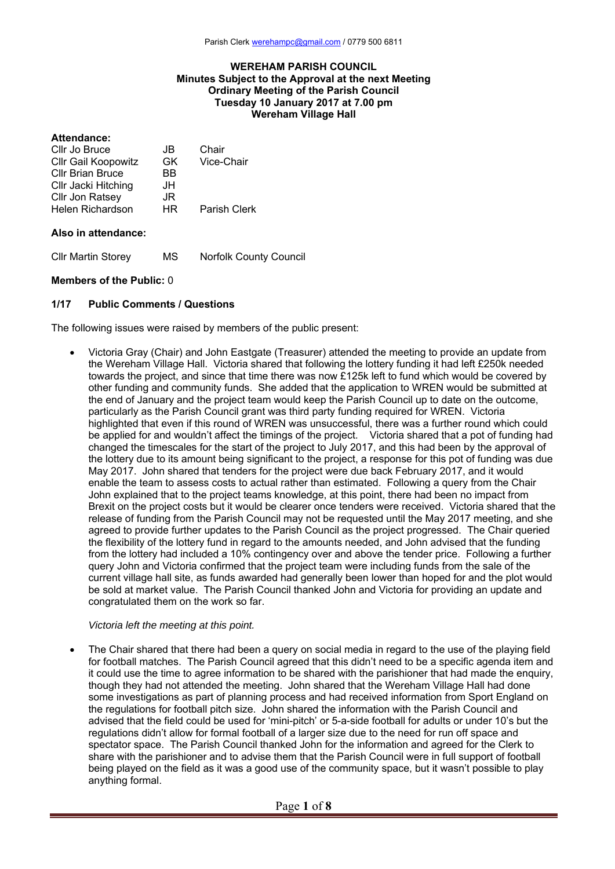## **WEREHAM PARISH COUNCIL Minutes Subject to the Approval at the next Meeting Ordinary Meeting of the Parish Council Tuesday 10 January 2017 at 7.00 pm Wereham Village Hall**

## **Attendance:**

| Cllr Jo Bruce              | JB. | Chair        |
|----------------------------|-----|--------------|
| <b>Cllr Gail Koopowitz</b> | GK  | Vice-Chair   |
| <b>CIIr Brian Bruce</b>    | BB  |              |
| Cllr Jacki Hitching        | JH. |              |
| Cllr Jon Ratsey            | JR  |              |
| Helen Richardson           | HR  | Parish Clerk |
|                            |     |              |

## **Also in attendance:**

Cllr Martin Storey MS Norfolk County Council

## **Members of the Public:** 0

## **1/17 Public Comments / Questions**

The following issues were raised by members of the public present:

 Victoria Gray (Chair) and John Eastgate (Treasurer) attended the meeting to provide an update from the Wereham Village Hall. Victoria shared that following the lottery funding it had left £250k needed towards the project, and since that time there was now £125k left to fund which would be covered by other funding and community funds. She added that the application to WREN would be submitted at the end of January and the project team would keep the Parish Council up to date on the outcome, particularly as the Parish Council grant was third party funding required for WREN. Victoria highlighted that even if this round of WREN was unsuccessful, there was a further round which could be applied for and wouldn't affect the timings of the project. Victoria shared that a pot of funding had changed the timescales for the start of the project to July 2017, and this had been by the approval of the lottery due to its amount being significant to the project, a response for this pot of funding was due May 2017. John shared that tenders for the project were due back February 2017, and it would enable the team to assess costs to actual rather than estimated. Following a query from the Chair John explained that to the project teams knowledge, at this point, there had been no impact from Brexit on the project costs but it would be clearer once tenders were received. Victoria shared that the release of funding from the Parish Council may not be requested until the May 2017 meeting, and she agreed to provide further updates to the Parish Council as the project progressed. The Chair queried the flexibility of the lottery fund in regard to the amounts needed, and John advised that the funding from the lottery had included a 10% contingency over and above the tender price. Following a further query John and Victoria confirmed that the project team were including funds from the sale of the current village hall site, as funds awarded had generally been lower than hoped for and the plot would be sold at market value. The Parish Council thanked John and Victoria for providing an update and congratulated them on the work so far.

## *Victoria left the meeting at this point.*

 The Chair shared that there had been a query on social media in regard to the use of the playing field for football matches. The Parish Council agreed that this didn't need to be a specific agenda item and it could use the time to agree information to be shared with the parishioner that had made the enquiry, though they had not attended the meeting. John shared that the Wereham Village Hall had done some investigations as part of planning process and had received information from Sport England on the regulations for football pitch size. John shared the information with the Parish Council and advised that the field could be used for 'mini-pitch' or 5-a-side football for adults or under 10's but the regulations didn't allow for formal football of a larger size due to the need for run off space and spectator space. The Parish Council thanked John for the information and agreed for the Clerk to share with the parishioner and to advise them that the Parish Council were in full support of football being played on the field as it was a good use of the community space, but it wasn't possible to play anything formal.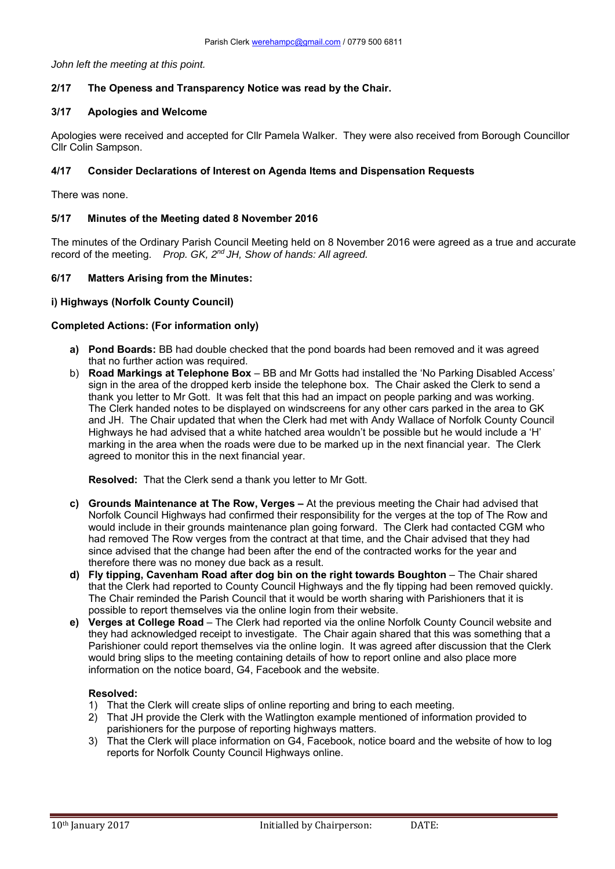*John left the meeting at this point.* 

# **2/17 The Openess and Transparency Notice was read by the Chair.**

# **3/17 Apologies and Welcome**

Apologies were received and accepted for Cllr Pamela Walker. They were also received from Borough Councillor Cllr Colin Sampson.

# **4/17 Consider Declarations of Interest on Agenda Items and Dispensation Requests**

There was none.

# **5/17 Minutes of the Meeting dated 8 November 2016**

The minutes of the Ordinary Parish Council Meeting held on 8 November 2016 were agreed as a true and accurate record of the meeting. *Prop. GK, 2nd JH, Show of hands: All agreed.*

# **6/17 Matters Arising from the Minutes:**

# **i) Highways (Norfolk County Council)**

## **Completed Actions: (For information only)**

- **a) Pond Boards:** BB had double checked that the pond boards had been removed and it was agreed that no further action was required.
- b) **Road Markings at Telephone Box** BB and Mr Gotts had installed the 'No Parking Disabled Access' sign in the area of the dropped kerb inside the telephone box. The Chair asked the Clerk to send a thank you letter to Mr Gott. It was felt that this had an impact on people parking and was working. The Clerk handed notes to be displayed on windscreens for any other cars parked in the area to GK and JH. The Chair updated that when the Clerk had met with Andy Wallace of Norfolk County Council Highways he had advised that a white hatched area wouldn't be possible but he would include a 'H' marking in the area when the roads were due to be marked up in the next financial year. The Clerk agreed to monitor this in the next financial year.

**Resolved:** That the Clerk send a thank you letter to Mr Gott.

- **c) Grounds Maintenance at The Row, Verges** At the previous meeting the Chair had advised that Norfolk Council Highways had confirmed their responsibility for the verges at the top of The Row and would include in their grounds maintenance plan going forward. The Clerk had contacted CGM who had removed The Row verges from the contract at that time, and the Chair advised that they had since advised that the change had been after the end of the contracted works for the year and therefore there was no money due back as a result.
- **d) Fly tipping, Cavenham Road after dog bin on the right towards Boughton** The Chair shared that the Clerk had reported to County Council Highways and the fly tipping had been removed quickly. The Chair reminded the Parish Council that it would be worth sharing with Parishioners that it is possible to report themselves via the online login from their website.
- **e) Verges at College Road** The Clerk had reported via the online Norfolk County Council website and they had acknowledged receipt to investigate. The Chair again shared that this was something that a Parishioner could report themselves via the online login. It was agreed after discussion that the Clerk would bring slips to the meeting containing details of how to report online and also place more information on the notice board, G4, Facebook and the website.

## **Resolved:**

- 1) That the Clerk will create slips of online reporting and bring to each meeting.
- 2) That JH provide the Clerk with the Watlington example mentioned of information provided to parishioners for the purpose of reporting highways matters.
- 3) That the Clerk will place information on G4, Facebook, notice board and the website of how to log reports for Norfolk County Council Highways online.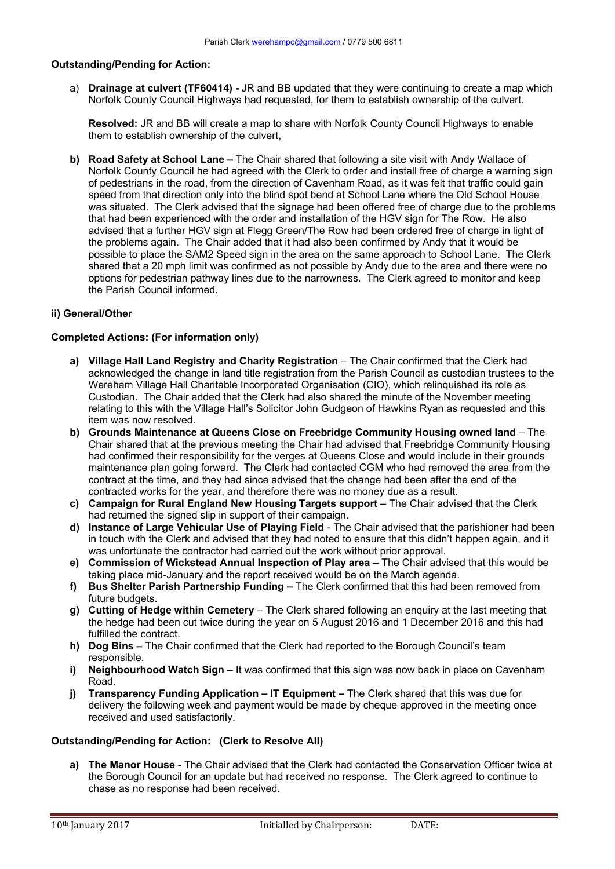# **Outstanding/Pending for Action:**

a) **Drainage at culvert (TF60414) -** JR and BB updated that they were continuing to create a map which Norfolk County Council Highways had requested, for them to establish ownership of the culvert.

**Resolved:** JR and BB will create a map to share with Norfolk County Council Highways to enable them to establish ownership of the culvert,

**b) Road Safety at School Lane –** The Chair shared that following a site visit with Andy Wallace of Norfolk County Council he had agreed with the Clerk to order and install free of charge a warning sign of pedestrians in the road, from the direction of Cavenham Road, as it was felt that traffic could gain speed from that direction only into the blind spot bend at School Lane where the Old School House was situated. The Clerk advised that the signage had been offered free of charge due to the problems that had been experienced with the order and installation of the HGV sign for The Row. He also advised that a further HGV sign at Flegg Green/The Row had been ordered free of charge in light of the problems again. The Chair added that it had also been confirmed by Andy that it would be possible to place the SAM2 Speed sign in the area on the same approach to School Lane. The Clerk shared that a 20 mph limit was confirmed as not possible by Andy due to the area and there were no options for pedestrian pathway lines due to the narrowness. The Clerk agreed to monitor and keep the Parish Council informed.

# **ii) General/Other**

## **Completed Actions: (For information only)**

- **a) Village Hall Land Registry and Charity Registration** The Chair confirmed that the Clerk had acknowledged the change in land title registration from the Parish Council as custodian trustees to the Wereham Village Hall Charitable Incorporated Organisation (CIO), which relinquished its role as Custodian. The Chair added that the Clerk had also shared the minute of the November meeting relating to this with the Village Hall's Solicitor John Gudgeon of Hawkins Ryan as requested and this item was now resolved.
- **b) Grounds Maintenance at Queens Close on Freebridge Community Housing owned land** The Chair shared that at the previous meeting the Chair had advised that Freebridge Community Housing had confirmed their responsibility for the verges at Queens Close and would include in their grounds maintenance plan going forward. The Clerk had contacted CGM who had removed the area from the contract at the time, and they had since advised that the change had been after the end of the contracted works for the year, and therefore there was no money due as a result.
- **c) Campaign for Rural England New Housing Targets support** The Chair advised that the Clerk had returned the signed slip in support of their campaign.
- **d) Instance of Large Vehicular Use of Playing Field**  The Chair advised that the parishioner had been in touch with the Clerk and advised that they had noted to ensure that this didn't happen again, and it was unfortunate the contractor had carried out the work without prior approval.
- **e) Commission of Wickstead Annual Inspection of Play area** The Chair advised that this would be taking place mid-January and the report received would be on the March agenda.
- **f) Bus Shelter Parish Partnership Funding** The Clerk confirmed that this had been removed from future budgets.
- **g) Cutting of Hedge within Cemetery** The Clerk shared following an enquiry at the last meeting that the hedge had been cut twice during the year on 5 August 2016 and 1 December 2016 and this had fulfilled the contract.
- **h) Dog Bins** The Chair confirmed that the Clerk had reported to the Borough Council's team responsible.
- **i)** Neighbourhood Watch Sign It was confirmed that this sign was now back in place on Cavenham Road.
- **j) Transparency Funding Application IT Equipment –** The Clerk shared that this was due for delivery the following week and payment would be made by cheque approved in the meeting once received and used satisfactorily.

# **Outstanding/Pending for Action: (Clerk to Resolve All)**

**a) The Manor House** - The Chair advised that the Clerk had contacted the Conservation Officer twice at the Borough Council for an update but had received no response. The Clerk agreed to continue to chase as no response had been received.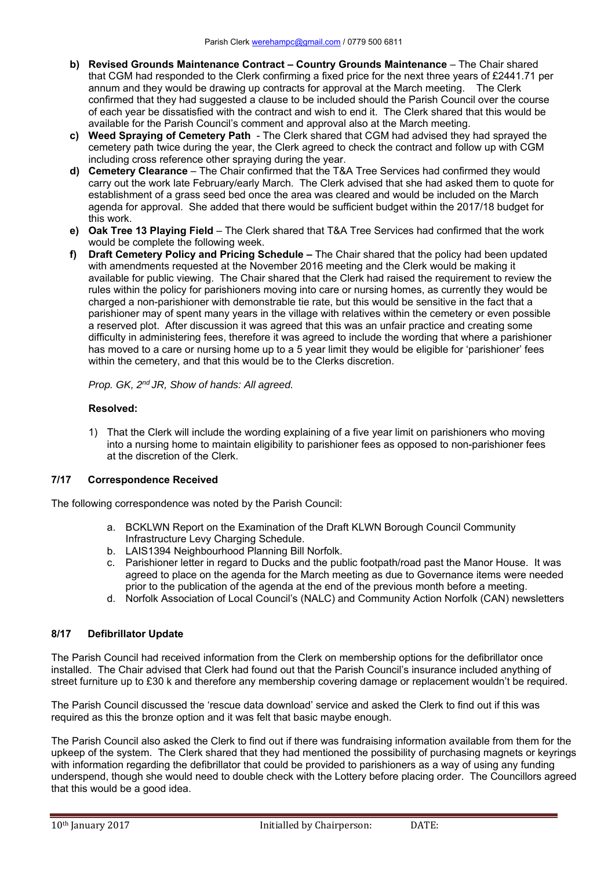- **b) Revised Grounds Maintenance Contract Country Grounds Maintenance** The Chair shared that CGM had responded to the Clerk confirming a fixed price for the next three years of £2441.71 per annum and they would be drawing up contracts for approval at the March meeting. The Clerk confirmed that they had suggested a clause to be included should the Parish Council over the course of each year be dissatisfied with the contract and wish to end it. The Clerk shared that this would be available for the Parish Council's comment and approval also at the March meeting.
- **c) Weed Spraying of Cemetery Path**  The Clerk shared that CGM had advised they had sprayed the cemetery path twice during the year, the Clerk agreed to check the contract and follow up with CGM including cross reference other spraying during the year.
- **d) Cemetery Clearance** The Chair confirmed that the T&A Tree Services had confirmed they would carry out the work late February/early March. The Clerk advised that she had asked them to quote for establishment of a grass seed bed once the area was cleared and would be included on the March agenda for approval. She added that there would be sufficient budget within the 2017/18 budget for this work.
- **e) Oak Tree 13 Playing Field** The Clerk shared that T&A Tree Services had confirmed that the work would be complete the following week.
- **f) Draft Cemetery Policy and Pricing Schedule** The Chair shared that the policy had been updated with amendments requested at the November 2016 meeting and the Clerk would be making it available for public viewing. The Chair shared that the Clerk had raised the requirement to review the rules within the policy for parishioners moving into care or nursing homes, as currently they would be charged a non-parishioner with demonstrable tie rate, but this would be sensitive in the fact that a parishioner may of spent many years in the village with relatives within the cemetery or even possible a reserved plot. After discussion it was agreed that this was an unfair practice and creating some difficulty in administering fees, therefore it was agreed to include the wording that where a parishioner has moved to a care or nursing home up to a 5 year limit they would be eligible for 'parishioner' fees within the cemetery, and that this would be to the Clerks discretion.

*Prop. GK, 2nd JR, Show of hands: All agreed.*

# **Resolved:**

1) That the Clerk will include the wording explaining of a five year limit on parishioners who moving into a nursing home to maintain eligibility to parishioner fees as opposed to non-parishioner fees at the discretion of the Clerk.

# **7/17 Correspondence Received**

The following correspondence was noted by the Parish Council:

- a. BCKLWN Report on the Examination of the Draft KLWN Borough Council Community Infrastructure Levy Charging Schedule.
- b. LAIS1394 Neighbourhood Planning Bill Norfolk.
- c. Parishioner letter in regard to Ducks and the public footpath/road past the Manor House. It was agreed to place on the agenda for the March meeting as due to Governance items were needed prior to the publication of the agenda at the end of the previous month before a meeting.
- d. Norfolk Association of Local Council's (NALC) and Community Action Norfolk (CAN) newsletters

# **8/17 Defibrillator Update**

The Parish Council had received information from the Clerk on membership options for the defibrillator once installed. The Chair advised that Clerk had found out that the Parish Council's insurance included anything of street furniture up to £30 k and therefore any membership covering damage or replacement wouldn't be required.

The Parish Council discussed the 'rescue data download' service and asked the Clerk to find out if this was required as this the bronze option and it was felt that basic maybe enough.

The Parish Council also asked the Clerk to find out if there was fundraising information available from them for the upkeep of the system. The Clerk shared that they had mentioned the possibility of purchasing magnets or keyrings with information regarding the defibrillator that could be provided to parishioners as a way of using any funding underspend, though she would need to double check with the Lottery before placing order. The Councillors agreed that this would be a good idea.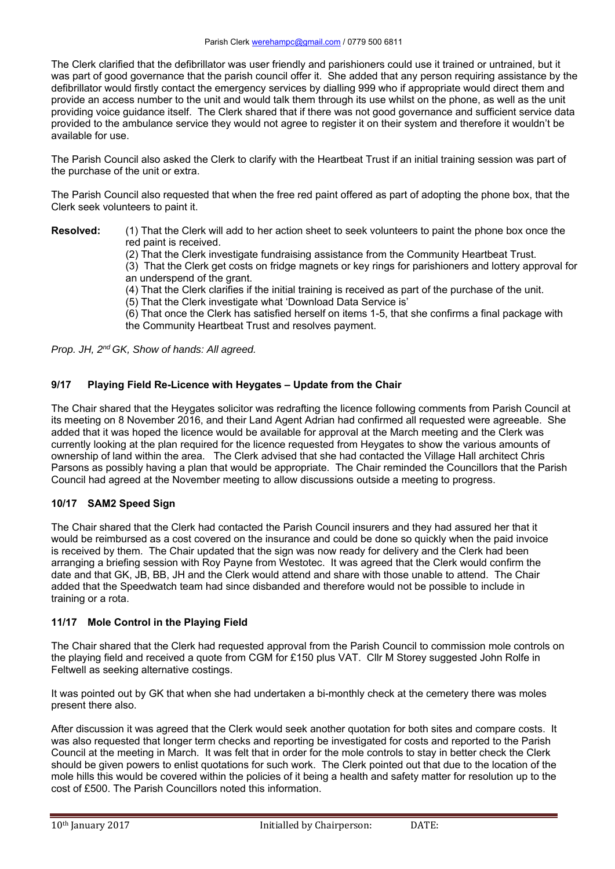The Clerk clarified that the defibrillator was user friendly and parishioners could use it trained or untrained, but it was part of good governance that the parish council offer it. She added that any person requiring assistance by the defibrillator would firstly contact the emergency services by dialling 999 who if appropriate would direct them and provide an access number to the unit and would talk them through its use whilst on the phone, as well as the unit providing voice guidance itself. The Clerk shared that if there was not good governance and sufficient service data provided to the ambulance service they would not agree to register it on their system and therefore it wouldn't be available for use.

The Parish Council also asked the Clerk to clarify with the Heartbeat Trust if an initial training session was part of the purchase of the unit or extra.

The Parish Council also requested that when the free red paint offered as part of adopting the phone box, that the Clerk seek volunteers to paint it.

**Resolved:** (1) That the Clerk will add to her action sheet to seek volunteers to paint the phone box once the red paint is received.

(2) That the Clerk investigate fundraising assistance from the Community Heartbeat Trust.

 (3) That the Clerk get costs on fridge magnets or key rings for parishioners and lottery approval for an underspend of the grant.

- (4) That the Clerk clarifies if the initial training is received as part of the purchase of the unit.
- (5) That the Clerk investigate what 'Download Data Service is'
- (6) That once the Clerk has satisfied herself on items 1-5, that she confirms a final package with the Community Heartbeat Trust and resolves payment.

*Prop. JH, 2nd GK, Show of hands: All agreed.*

# **9/17 Playing Field Re-Licence with Heygates – Update from the Chair**

The Chair shared that the Heygates solicitor was redrafting the licence following comments from Parish Council at its meeting on 8 November 2016, and their Land Agent Adrian had confirmed all requested were agreeable. She added that it was hoped the licence would be available for approval at the March meeting and the Clerk was currently looking at the plan required for the licence requested from Heygates to show the various amounts of ownership of land within the area. The Clerk advised that she had contacted the Village Hall architect Chris Parsons as possibly having a plan that would be appropriate. The Chair reminded the Councillors that the Parish Council had agreed at the November meeting to allow discussions outside a meeting to progress.

# **10/17 SAM2 Speed Sign**

The Chair shared that the Clerk had contacted the Parish Council insurers and they had assured her that it would be reimbursed as a cost covered on the insurance and could be done so quickly when the paid invoice is received by them. The Chair updated that the sign was now ready for delivery and the Clerk had been arranging a briefing session with Roy Payne from Westotec. It was agreed that the Clerk would confirm the date and that GK, JB, BB, JH and the Clerk would attend and share with those unable to attend. The Chair added that the Speedwatch team had since disbanded and therefore would not be possible to include in training or a rota.

# **11/17 Mole Control in the Playing Field**

The Chair shared that the Clerk had requested approval from the Parish Council to commission mole controls on the playing field and received a quote from CGM for £150 plus VAT. Cllr M Storey suggested John Rolfe in Feltwell as seeking alternative costings.

It was pointed out by GK that when she had undertaken a bi-monthly check at the cemetery there was moles present there also.

After discussion it was agreed that the Clerk would seek another quotation for both sites and compare costs. It was also requested that longer term checks and reporting be investigated for costs and reported to the Parish Council at the meeting in March. It was felt that in order for the mole controls to stay in better check the Clerk should be given powers to enlist quotations for such work. The Clerk pointed out that due to the location of the mole hills this would be covered within the policies of it being a health and safety matter for resolution up to the cost of £500. The Parish Councillors noted this information.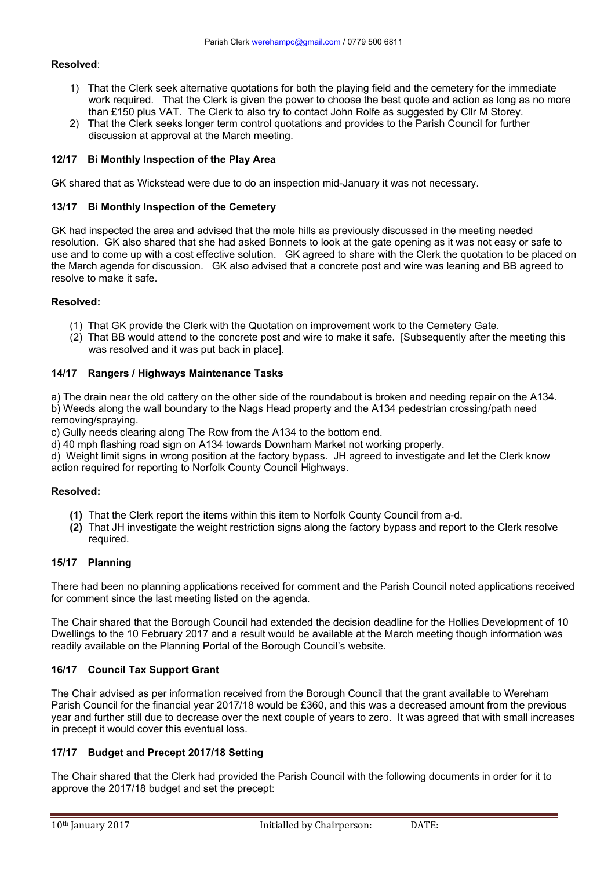## **Resolved**:

- 1) That the Clerk seek alternative quotations for both the playing field and the cemetery for the immediate work required. That the Clerk is given the power to choose the best quote and action as long as no more than £150 plus VAT. The Clerk to also try to contact John Rolfe as suggested by Cllr M Storey.
- 2) That the Clerk seeks longer term control quotations and provides to the Parish Council for further discussion at approval at the March meeting.

## **12/17 Bi Monthly Inspection of the Play Area**

GK shared that as Wickstead were due to do an inspection mid-January it was not necessary.

#### **13/17 Bi Monthly Inspection of the Cemetery**

GK had inspected the area and advised that the mole hills as previously discussed in the meeting needed resolution. GK also shared that she had asked Bonnets to look at the gate opening as it was not easy or safe to use and to come up with a cost effective solution. GK agreed to share with the Clerk the quotation to be placed on the March agenda for discussion. GK also advised that a concrete post and wire was leaning and BB agreed to resolve to make it safe.

#### **Resolved:**

- (1) That GK provide the Clerk with the Quotation on improvement work to the Cemetery Gate.
- (2) That BB would attend to the concrete post and wire to make it safe. [Subsequently after the meeting this was resolved and it was put back in place].

#### **14/17 Rangers / Highways Maintenance Tasks**

a) The drain near the old cattery on the other side of the roundabout is broken and needing repair on the A134. b) Weeds along the wall boundary to the Nags Head property and the A134 pedestrian crossing/path need

removing/spraying.

c) Gully needs clearing along The Row from the A134 to the bottom end.

d) 40 mph flashing road sign on A134 towards Downham Market not working properly.

d) Weight limit signs in wrong position at the factory bypass. JH agreed to investigate and let the Clerk know action required for reporting to Norfolk County Council Highways.

#### **Resolved:**

- **(1)** That the Clerk report the items within this item to Norfolk County Council from a-d.
- **(2)** That JH investigate the weight restriction signs along the factory bypass and report to the Clerk resolve required.

# **15/17 Planning**

There had been no planning applications received for comment and the Parish Council noted applications received for comment since the last meeting listed on the agenda.

The Chair shared that the Borough Council had extended the decision deadline for the Hollies Development of 10 Dwellings to the 10 February 2017 and a result would be available at the March meeting though information was readily available on the Planning Portal of the Borough Council's website.

## **16/17 Council Tax Support Grant**

The Chair advised as per information received from the Borough Council that the grant available to Wereham Parish Council for the financial year 2017/18 would be £360, and this was a decreased amount from the previous year and further still due to decrease over the next couple of years to zero. It was agreed that with small increases in precept it would cover this eventual loss.

## **17/17 Budget and Precept 2017/18 Setting**

The Chair shared that the Clerk had provided the Parish Council with the following documents in order for it to approve the 2017/18 budget and set the precept: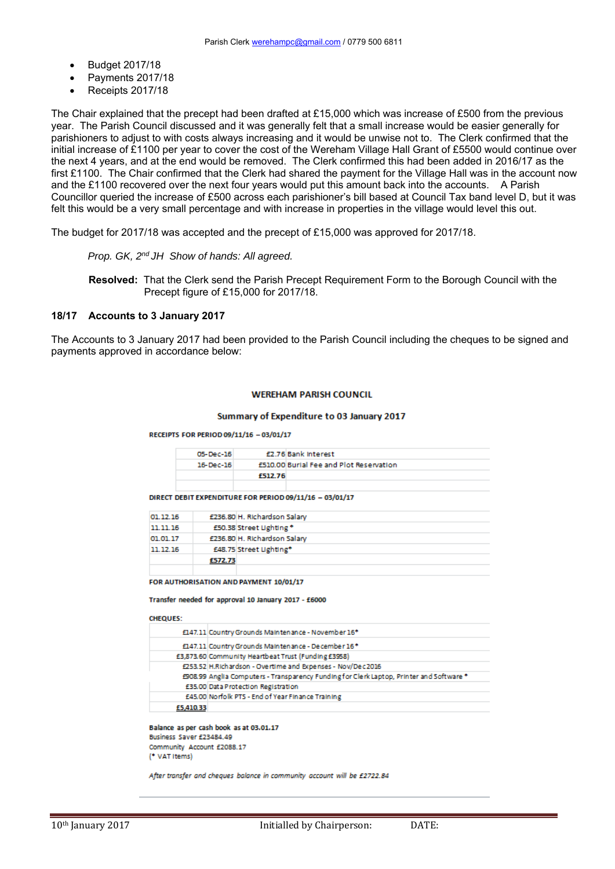- Budget 2017/18
- Payments 2017/18
- Receipts 2017/18

The Chair explained that the precept had been drafted at £15,000 which was increase of £500 from the previous year. The Parish Council discussed and it was generally felt that a small increase would be easier generally for parishioners to adjust to with costs always increasing and it would be unwise not to. The Clerk confirmed that the initial increase of £1100 per year to cover the cost of the Wereham Village Hall Grant of £5500 would continue over the next 4 years, and at the end would be removed. The Clerk confirmed this had been added in 2016/17 as the first £1100. The Chair confirmed that the Clerk had shared the payment for the Village Hall was in the account now and the £1100 recovered over the next four years would put this amount back into the accounts. A Parish Councillor queried the increase of £500 across each parishioner's bill based at Council Tax band level D, but it was felt this would be a very small percentage and with increase in properties in the village would level this out.

The budget for 2017/18 was accepted and the precept of £15,000 was approved for 2017/18.

*Prop. GK, 2nd JH Show of hands: All agreed.*

**Resolved:** That the Clerk send the Parish Precept Requirement Form to the Borough Council with the Precept figure of £15,000 for 2017/18.

## **18/17 Accounts to 3 January 2017**

The Accounts to 3 January 2017 had been provided to the Parish Council including the cheques to be signed and payments approved in accordance below:

#### **WEREHAM PARISH COUNCIL**

#### Summary of Expenditure to 03 January 2017

#### RECEIPTS FOR PERIOD 09/11/16 - 03/01/17

| 05-Dec-16 |         | £2.76 Bank Interest                     |
|-----------|---------|-----------------------------------------|
| 16-Dec-16 |         | £510,00 Burial Fee and Plot Reservation |
|           | £512.76 |                                         |
|           |         |                                         |

DIRECT DEBIT EXPENDITURE FOR PERIOD 09/11/16 - 03/01/17

| 01.12.16 |         | £236.80 H. Richardson Salary |
|----------|---------|------------------------------|
| 11.11.16 |         | £50.38 Street Lighting *     |
| 01.01.17 |         | £236.80 H. Richardson Salary |
| 11.12.16 |         | £48.75 Street Lighting*      |
|          | £572.73 |                              |
|          |         |                              |

FOR AUTHORISATION AND PAYMENT 10/01/17

Transfer needed for approval 10 January 2017 - £6000

#### **CHEQUES:**

|           | £147.11 Country Grounds Maintenance - November 16*                                       |
|-----------|------------------------------------------------------------------------------------------|
|           | £147.11 Country Grounds Maintenance - December 16*                                       |
|           | £3,873.60 Community Heartbeat Trust (Funding £3958)                                      |
|           | £253.52 H.Richardson - Overtime and Expenses - Nov/Dec2016                               |
|           | £908.99 Anglia Computers - Transparency Funding for Clerk Laptop, Printer and Software * |
|           | £35.00 Data Protection Registration                                                      |
|           | £45.00 Norfolk PTS - End of Year Finance Training                                        |
| £5,410.33 |                                                                                          |

Balance as per cash book as at 03.01.17 Business Saver £23484.49 Community Account £2088.17 <sup>(\*</sup> VAT Items)

After transfer and cheques balance in community account will be £2722.84